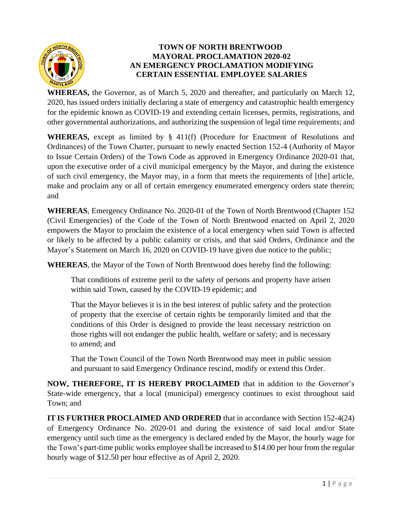

## **TOWN OF NORTH BRENTWOOD MAYORAL PROCLAMATION 2020-02 AN EMERGENCY PROCLAMATION MODIFYING CERTAIN ESSENTIAL EMPLOYEE SALARIES**

**WHEREAS,** the Governor, as of March 5, 2020 and thereafter, and particularly on March 12, 2020, has issued orders initially declaring a state of emergency and catastrophic health emergency for the epidemic known as COVID-19 and extending certain licenses, permits, registrations, and other governmental authorizations, and authorizing the suspension of legal time requirements; and

**WHEREAS,** except as limited by § 411(f) (Procedure for Enactment of Resolutions and Ordinances) of the Town Charter, pursuant to newly enacted Section 152-4 (Authority of Mayor to Issue Certain Orders) of the Town Code as approved in Emergency Ordinance 2020-01 that, upon the executive order of a civil municipal emergency by the Mayor, and during the existence of such civil emergency, the Mayor may, in a form that meets the requirements of [the] article, make and proclaim any or all of certain emergency enumerated emergency orders state therein; and

**WHEREAS**, Emergency Ordinance No. 2020-01 of the Town of North Brentwood (Chapter 152 (Civil Emergencies) of the Code of the Town of North Brentwood enacted on April 2, 2020 empowers the Mayor to proclaim the existence of a local emergency when said Town is affected or likely to be affected by a public calamity or crisis, and that said Orders, Ordinance and the Mayor's Statement on March 16, 2020 on COVID-19 have given due notice to the public;

**WHEREAS**, the Mayor of the Town of North Brentwood does hereby find the following:

That conditions of extreme peril to the safety of persons and property have arisen within said Town, caused by the COVID-19 epidemic; and

That the Mayor believes it is in the best interest of public safety and the protection of property that the exercise of certain rights be temporarily limited and that the conditions of this Order is designed to provide the least necessary restriction on those rights will not endanger the public health, welfare or safety; and is necessary to amend; and

That the Town Council of the Town North Brentwood may meet in public session and pursuant to said Emergency Ordinance rescind, modify or extend this Order.

**NOW, THEREFORE, IT IS HEREBY PROCLAIMED** that in addition to the Governor's State-wide emergency, that a local (municipal) emergency continues to exist throughout said Town; and

**IT IS FURTHER PROCLAIMED AND ORDERED** that in accordance with Section 152-4(24) of Emergency Ordinance No. 2020-01 and during the existence of said local and/or State emergency until such time as the emergency is declared ended by the Mayor, the hourly wage for the Town's part-time public works employee shall be increased to \$14.00 per hour from the regular hourly wage of \$12.50 per hour effective as of April 2, 2020.